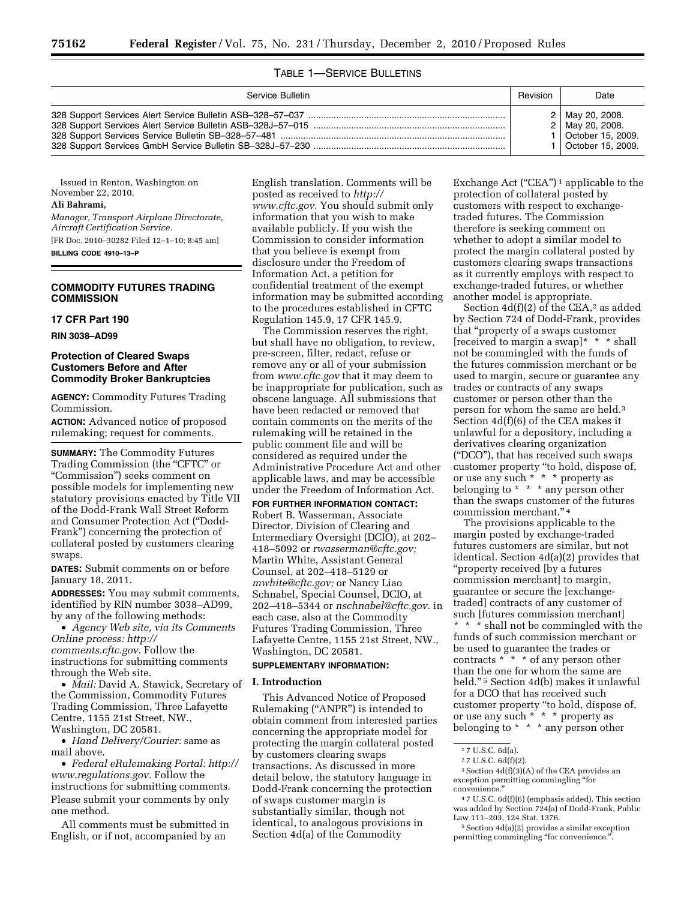## TABLE 1—SERVICE BULLETINS

| Service Bulletin | Revision | Date                                                                                     |
|------------------|----------|------------------------------------------------------------------------------------------|
|                  |          | 2   May 20, 2008.<br>2   May 20, 2008.<br>1   October 15, 2009.<br>1   October 15, 2009. |

Issued in Renton, Washington on November 22, 2010.

## **Ali Bahrami,**

*Manager, Transport Airplane Directorate, Aircraft Certification Service.* 

[FR Doc. 2010–30282 Filed 12–1–10; 8:45 am] **BILLING CODE 4910–13–P** 

## **COMMODITY FUTURES TRADING COMMISSION**

## **17 CFR Part 190**

**RIN 3038–AD99** 

# **Protection of Cleared Swaps Customers Before and After Commodity Broker Bankruptcies**

**AGENCY:** Commodity Futures Trading Commission.

**ACTION:** Advanced notice of proposed rulemaking; request for comments.

**SUMMARY:** The Commodity Futures Trading Commission (the "CFTC" or ''Commission'') seeks comment on possible models for implementing new statutory provisions enacted by Title VII of the Dodd-Frank Wall Street Reform and Consumer Protection Act (''Dodd-Frank'') concerning the protection of collateral posted by customers clearing swaps.

**DATES:** Submit comments on or before January 18, 2011.

**ADDRESSES:** You may submit comments, identified by RIN number 3038–AD99, by any of the following methods:

• *Agency Web site, via its Comments Online process: [http://](http://comments.cftc.gov) [comments.cftc.gov.](http://comments.cftc.gov)* Follow the instructions for submitting comments through the Web site.

• *Mail:* David A. Stawick, Secretary of the Commission, Commodity Futures Trading Commission, Three Lafayette Centre, 1155 21st Street, NW., Washington, DC 20581.

• *Hand Delivery/Courier:* same as mail above.

• *Federal eRulemaking Portal: [http://](http://www.regulations.gov)  [www.regulations.gov.](http://www.regulations.gov)* Follow the instructions for submitting comments. Please submit your comments by only one method.

All comments must be submitted in English, or if not, accompanied by an

English translation. Comments will be posted as received to *[http://](http://www.cftc.gov) [www.cftc.gov.](http://www.cftc.gov)* You should submit only information that you wish to make available publicly. If you wish the Commission to consider information that you believe is exempt from disclosure under the Freedom of Information Act, a petition for confidential treatment of the exempt information may be submitted according to the procedures established in CFTC Regulation 145.9, 17 CFR 145.9.

The Commission reserves the right, but shall have no obligation, to review, pre-screen, filter, redact, refuse or remove any or all of your submission from *[www.cftc.gov](http://www.cftc.gov)* that it may deem to be inappropriate for publication, such as obscene language. All submissions that have been redacted or removed that contain comments on the merits of the rulemaking will be retained in the public comment file and will be considered as required under the Administrative Procedure Act and other applicable laws, and may be accessible under the Freedom of Information Act.

**FOR FURTHER INFORMATION CONTACT:**  Robert B. Wasserman, Associate Director, Division of Clearing and Intermediary Oversight (DCIO), at 202– 418–5092 or *[rwasserman@cftc.gov;](mailto:rwasserman@cftc.gov)*  Martin White, Assistant General Counsel, at 202–418–5129 or *[mwhite@cftc.gov;](mailto:mwhite@cftc.gov)* or Nancy Liao Schnabel, Special Counsel, DCIO, at 202–418–5344 or *[nschnabel@cftc.gov.](mailto:nschnabel@cftc.gov)* in each case, also at the Commodity Futures Trading Commission, Three Lafayette Centre, 1155 21st Street, NW., Washington, DC 20581.

## **SUPPLEMENTARY INFORMATION:**

## **I. Introduction**

This Advanced Notice of Proposed Rulemaking (''ANPR'') is intended to obtain comment from interested parties concerning the appropriate model for protecting the margin collateral posted by customers clearing swaps transactions. As discussed in more detail below, the statutory language in Dodd-Frank concerning the protection of swaps customer margin is substantially similar, though not identical, to analogous provisions in Section 4d(a) of the Commodity

Exchange Act ("CEA")<sup>1</sup> applicable to the protection of collateral posted by customers with respect to exchangetraded futures. The Commission therefore is seeking comment on whether to adopt a similar model to protect the margin collateral posted by customers clearing swaps transactions as it currently employs with respect to exchange-traded futures, or whether another model is appropriate.

Section  $4d(f)(2)$  of the CEA,<sup>2</sup> as added by Section 724 of Dodd-Frank, provides that ''property of a swaps customer [received to margin a swap]\* \* \* shall not be commingled with the funds of the futures commission merchant or be used to margin, secure or guarantee any trades or contracts of any swaps customer or person other than the person for whom the same are held.3 Section 4d(f)(6) of the CEA makes it unlawful for a depository, including a derivatives clearing organization (''DCO''), that has received such swaps customer property ''to hold, dispose of, or use any such \* \* \* property as belonging to \* \* \* any person other than the swaps customer of the futures commission merchant.'' 4

The provisions applicable to the margin posted by exchange-traded futures customers are similar, but not identical. Section 4d(a)(2) provides that ''property received [by a futures commission merchant] to margin, guarantee or secure the [exchangetraded] contracts of any customer of such [futures commission merchant] \* \* \* shall not be commingled with the funds of such commission merchant or be used to guarantee the trades or contracts \* \* \* of any person other than the one for whom the same are held.'' 5 Section 4d(b) makes it unlawful for a DCO that has received such customer property ''to hold, dispose of, or use any such  $*$   $*$   $*$  property as belonging to \* \* \* any person other

 $3$  Section  $4d(f)(3)(A)$  of the CEA provides an exception permitting commingling ''for convenience.''

 $^4\,7$  U.S.C. 6d(f)(6) (emphasis added). This section was added by Section 724(a) of Dodd-Frank, Public Law 111–203, 124 Stat. 1376.

5Section 4d(a)(2) provides a similar exception permitting commingling "for convenience."

<sup>1</sup> 7 U.S.C. 6d(a).

<sup>2</sup> 7 U.S.C. 6d(f)(2).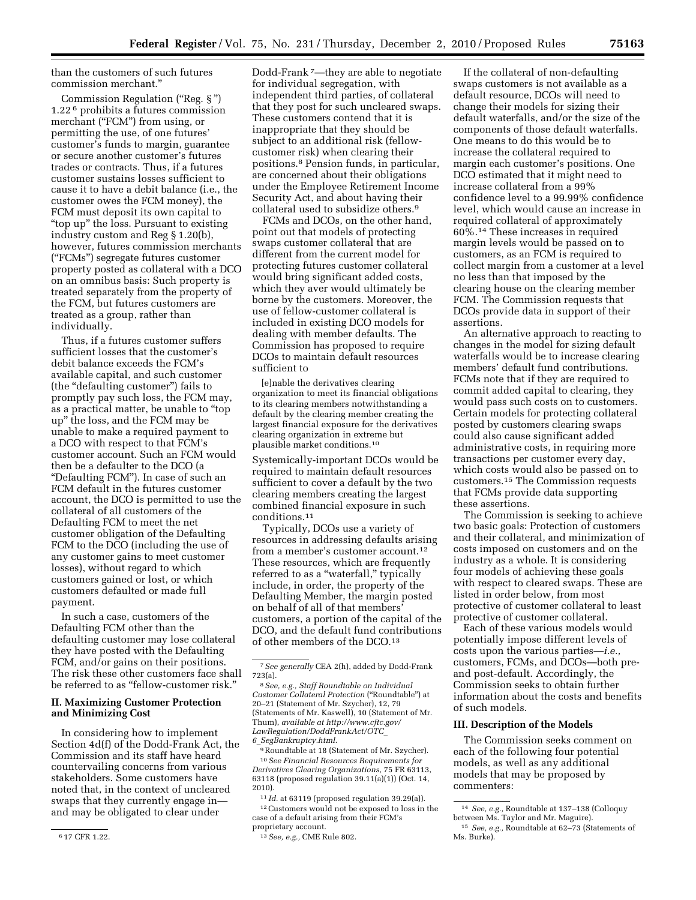than the customers of such futures commission merchant.''

Commission Regulation (''Reg. § '') 1.22 6 prohibits a futures commission merchant ("FCM") from using, or permitting the use, of one futures' customer's funds to margin, guarantee or secure another customer's futures trades or contracts. Thus, if a futures customer sustains losses sufficient to cause it to have a debit balance (i.e., the customer owes the FCM money), the FCM must deposit its own capital to ''top up'' the loss. Pursuant to existing industry custom and Reg § 1.20(b), however, futures commission merchants (''FCMs'') segregate futures customer property posted as collateral with a DCO on an omnibus basis: Such property is treated separately from the property of the FCM, but futures customers are treated as a group, rather than individually.

Thus, if a futures customer suffers sufficient losses that the customer's debit balance exceeds the FCM's available capital, and such customer (the ''defaulting customer'') fails to promptly pay such loss, the FCM may, as a practical matter, be unable to ''top up'' the loss, and the FCM may be unable to make a required payment to a DCO with respect to that FCM's customer account. Such an FCM would then be a defaulter to the DCO (a ''Defaulting FCM''). In case of such an FCM default in the futures customer account, the DCO is permitted to use the collateral of all customers of the Defaulting FCM to meet the net customer obligation of the Defaulting FCM to the DCO (including the use of any customer gains to meet customer losses), without regard to which customers gained or lost, or which customers defaulted or made full payment.

In such a case, customers of the Defaulting FCM other than the defaulting customer may lose collateral they have posted with the Defaulting FCM, and/or gains on their positions. The risk these other customers face shall be referred to as "fellow-customer risk."

## **II. Maximizing Customer Protection and Minimizing Cost**

In considering how to implement Section 4d(f) of the Dodd-Frank Act, the Commission and its staff have heard countervailing concerns from various stakeholders. Some customers have noted that, in the context of uncleared swaps that they currently engage in and may be obligated to clear under

Dodd-Frank 7—they are able to negotiate for individual segregation, with independent third parties, of collateral that they post for such uncleared swaps. These customers contend that it is inappropriate that they should be subject to an additional risk (fellowcustomer risk) when clearing their positions.8 Pension funds, in particular, are concerned about their obligations under the Employee Retirement Income Security Act, and about having their collateral used to subsidize others.9

FCMs and DCOs, on the other hand, point out that models of protecting swaps customer collateral that are different from the current model for protecting futures customer collateral would bring significant added costs, which they aver would ultimately be borne by the customers. Moreover, the use of fellow-customer collateral is included in existing DCO models for dealing with member defaults. The Commission has proposed to require DCOs to maintain default resources sufficient to

[e]nable the derivatives clearing organization to meet its financial obligations to its clearing members notwithstanding a default by the clearing member creating the largest financial exposure for the derivatives clearing organization in extreme but plausible market conditions.10

Systemically-important DCOs would be required to maintain default resources sufficient to cover a default by the two clearing members creating the largest combined financial exposure in such conditions.11

Typically, DCOs use a variety of resources in addressing defaults arising from a member's customer account.12 These resources, which are frequently referred to as a "waterfall," typically include, in order, the property of the Defaulting Member, the margin posted on behalf of all of that members' customers, a portion of the capital of the DCO, and the default fund contributions of other members of the DCO.13

9Roundtable at 18 (Statement of Mr. Szycher).

10*See Financial Resources Requirements for Derivatives Clearing Organizations,* 75 FR 63113, 63118 (proposed regulation 39.11(a)(1)) (Oct. 14, 2010).

11 *Id.* at 63119 (proposed regulation 39.29(a)).

12Customers would not be exposed to loss in the case of a default arising from their FCM's proprietary account.

If the collateral of non-defaulting swaps customers is not available as a default resource, DCOs will need to change their models for sizing their default waterfalls, and/or the size of the components of those default waterfalls. One means to do this would be to increase the collateral required to margin each customer's positions. One DCO estimated that it might need to increase collateral from a 99% confidence level to a 99.99% confidence level, which would cause an increase in required collateral of approximately 60%.14 These increases in required margin levels would be passed on to customers, as an FCM is required to collect margin from a customer at a level no less than that imposed by the clearing house on the clearing member FCM. The Commission requests that DCOs provide data in support of their assertions.

An alternative approach to reacting to changes in the model for sizing default waterfalls would be to increase clearing members' default fund contributions. FCMs note that if they are required to commit added capital to clearing, they would pass such costs on to customers. Certain models for protecting collateral posted by customers clearing swaps could also cause significant added administrative costs, in requiring more transactions per customer every day, which costs would also be passed on to customers.15 The Commission requests that FCMs provide data supporting these assertions.

The Commission is seeking to achieve two basic goals: Protection of customers and their collateral, and minimization of costs imposed on customers and on the industry as a whole. It is considering four models of achieving these goals with respect to cleared swaps. These are listed in order below, from most protective of customer collateral to least protective of customer collateral.

Each of these various models would potentially impose different levels of costs upon the various parties—*i.e.,*  customers, FCMs, and DCOs—both preand post-default. Accordingly, the Commission seeks to obtain further information about the costs and benefits of such models.

### **III. Description of the Models**

The Commission seeks comment on each of the following four potential models, as well as any additional models that may be proposed by commenters:

<sup>6</sup> 17 CFR 1.22.

<sup>7</sup>*See generally* CEA 2(h), added by Dodd-Frank 723(a).

<sup>8</sup>*See, e.g., Staff Roundtable on Individual Customer Collateral Protection* (''Roundtable'') at 20–21 (Statement of Mr. Szycher), 12, 79 (Statements of Mr. Kaswell), 10 (Statement of Mr. Thum), *available at [http://www.cftc.gov/](http://www.cftc.gov/LawRegulation/DoddFrankAct/OTC_6_SegBankruptcy.html) [LawRegulation/DoddFrankAct/OTC](http://www.cftc.gov/LawRegulation/DoddFrankAct/OTC_6_SegBankruptcy.html)*\_ *6*\_*[SegBankruptcy.html.](http://www.cftc.gov/LawRegulation/DoddFrankAct/OTC_6_SegBankruptcy.html)* 

<sup>13</sup>*See, e.g.,* CME Rule 802.

<sup>14</sup> *See, e.g.,* Roundtable at 137–138 (Colloquy between Ms. Taylor and Mr. Maguire).

<sup>15</sup> *See, e.g.,* Roundtable at 62–73 (Statements of Ms. Burke).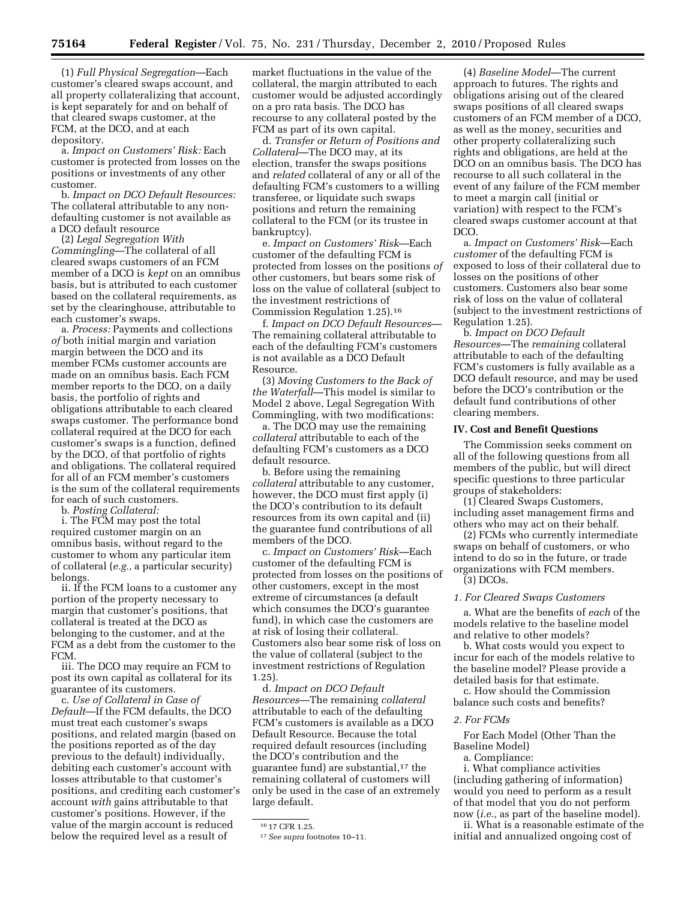(1) *Full Physical Segregation*—Each customer's cleared swaps account, and all property collateralizing that account, is kept separately for and on behalf of that cleared swaps customer, at the FCM, at the DCO, and at each depository.

a. *Impact on Customers' Risk:* Each customer is protected from losses on the positions or investments of any other customer.

b. *Impact on DCO Default Resources:*  The collateral attributable to any nondefaulting customer is not available as a DCO default resource

(2) *Legal Segregation With Commingling*—The collateral of all cleared swaps customers of an FCM member of a DCO is *kept* on an omnibus basis, but is attributed to each customer based on the collateral requirements, as set by the clearinghouse, attributable to each customer's swaps.

a. *Process:* Payments and collections *of* both initial margin and variation margin between the DCO and its member FCMs customer accounts are made on an omnibus basis. Each FCM member reports to the DCO, on a daily basis, the portfolio of rights and obligations attributable to each cleared swaps customer. The performance bond collateral required at the DCO for each customer's swaps is a function, defined by the DCO, of that portfolio of rights and obligations. The collateral required for all of an FCM member's customers is the sum of the collateral requirements for each of such customers.

b. *Posting Collateral:* 

i. The FCM may post the total required customer margin on an omnibus basis, without regard to the customer to whom any particular item of collateral (*e.g.,* a particular security) belongs.

ii. If the FCM loans to a customer any portion of the property necessary to margin that customer's positions, that collateral is treated at the DCO as belonging to the customer, and at the FCM as a debt from the customer to the FCM.

iii. The DCO may require an FCM to post its own capital as collateral for its guarantee of its customers.

c. *Use of Collateral in Case of Default*—If the FCM defaults, the DCO must treat each customer's swaps positions, and related margin (based on the positions reported as of the day previous to the default) individually, debiting each customer's account with losses attributable to that customer's positions, and crediting each customer's account *with* gains attributable to that customer's positions. However, if the value of the margin account is reduced below the required level as a result of

market fluctuations in the value of the collateral, the margin attributed to each customer would be adjusted accordingly on a pro rata basis. The DCO has recourse to any collateral posted by the FCM as part of its own capital.

d. *Transfer or Return of Positions and Collateral*—The DCO may, at its election, transfer the swaps positions and *related* collateral of any or all of the defaulting FCM's customers to a willing transferee, or liquidate such swaps positions and return the remaining collateral to the FCM (or its trustee in bankruptcy).

e. *Impact on Customers' Risk*—Each customer of the defaulting FCM is protected from losses on the positions *of*  other customers, but bears some risk of loss on the value of collateral (subject to the investment restrictions of Commission Regulation 1.25).16

f. *Impact on DCO Default Resources*— The remaining collateral attributable to each of the defaulting FCM's customers is not available as a DCO Default Resource.

(3) *Moving Customers to the Back of the Waterfall*—This model is similar to Model 2 above, Legal Segregation With Commingling, with two modifications:

a. The DCO may use the remaining *collateral* attributable to each of the defaulting FCM's customers as a DCO default resource.

b. Before using the remaining *collateral* attributable to any customer, however, the DCO must first apply (i) the DCO's contribution to its default resources from its own capital and (ii) the guarantee fund contributions of all members of the DCO.

c. *Impact on Customers' Risk*—Each customer of the defaulting FCM is protected from losses on the positions of other customers, except in the most extreme of circumstances (a default which consumes the DCO's guarantee fund), in which case the customers are at risk of losing their collateral. Customers also bear some risk of loss on the value of collateral (subject to the investment restrictions of Regulation 1.25).

d. *Impact on DCO Default Resources*—The remaining *collateral*  attributable to each of the defaulting FCM's customers is available as a DCO Default Resource. Because the total required default resources (including the DCO's contribution and the guarantee fund) are substantial,17 the remaining collateral of customers will only be used in the case of an extremely large default.

(4) *Baseline Model*—The current approach to futures. The rights and obligations arising out of the cleared swaps positions of all cleared swaps customers of an FCM member of a DCO, as well as the money, securities and other property collateralizing such rights and obligations, are held at the DCO on an omnibus basis. The DCO has recourse to all such collateral in the event of any failure of the FCM member to meet a margin call (initial or variation) with respect to the FCM's cleared swaps customer account at that DCO.

a. *Impact on Customers' Risk*—Each *customer* of the defaulting FCM is exposed to loss of their collateral due to losses on the positions of other customers. Customers also bear some risk of loss on the value of collateral (subject to the investment restrictions of Regulation 1.25).

b. *Impact on DCO Default Resources*—The *remaining* collateral attributable to each of the defaulting FCM's customers is fully available as a DCO default resource, and may be used before the DCO's contribution or the default fund contributions of other clearing members.

# **IV. Cost and Benefit Questions**

The Commission seeks comment on all of the following questions from all members of the public, but will direct specific questions to three particular groups of stakeholders:

(1) Cleared Swaps Customers, including asset management firms and others who may act on their behalf.

(2) FCMs who currently intermediate swaps on behalf of customers, or who intend to do so in the future, or trade organizations with FCM members.

(3) DCOs.

#### *1. For Cleared Swaps Customers*

a. What are the benefits of *each* of the models relative to the baseline model and relative to other models?

b. What costs would you expect to incur for each of the models relative to the baseline model? Please provide a detailed basis for that estimate.

c. How should the Commission balance such costs and benefits?

## *2. For FCMs*

For Each Model (Other Than the Baseline Model)

a. Compliance:

i. What compliance activities (including gathering of information) would you need to perform as a result of that model that you do not perform now (*i.e.,* as part of the baseline model).

ii. What is a reasonable estimate of the initial and annualized ongoing cost of

<sup>16</sup> 17 CFR 1.25.

<sup>17</sup>*See supra* footnotes 10–11.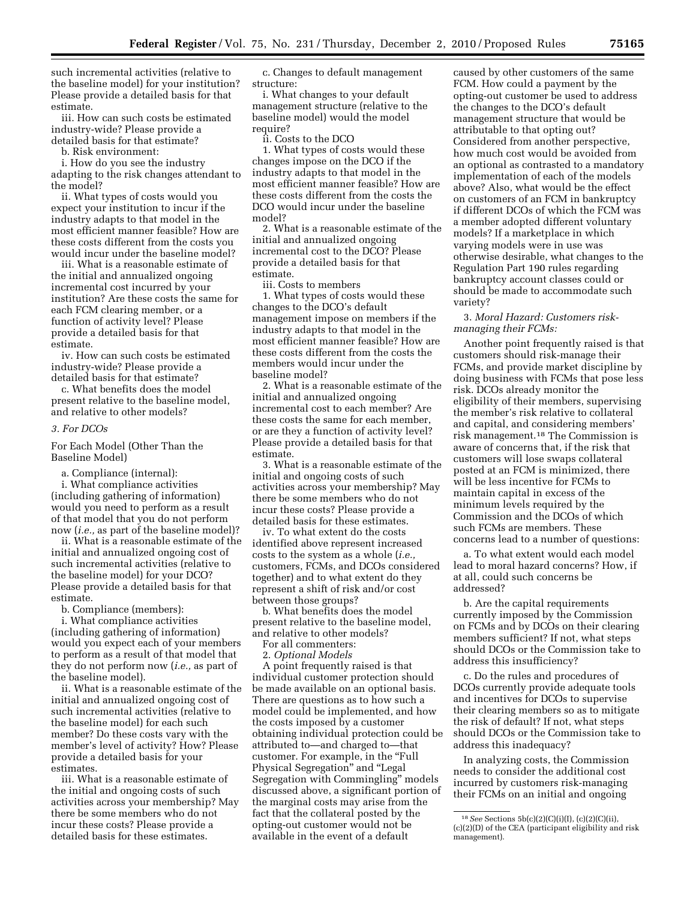such incremental activities (relative to the baseline model) for your institution? Please provide a detailed basis for that estimate.

iii. How can such costs be estimated industry-wide? Please provide a detailed basis for that estimate?

b. Risk environment:

i. How do you see the industry adapting to the risk changes attendant to the model?

ii. What types of costs would you expect your institution to incur if the industry adapts to that model in the most efficient manner feasible? How are these costs different from the costs you would incur under the baseline model?

iii. What is a reasonable estimate of the initial and annualized ongoing incremental cost incurred by your institution? Are these costs the same for each FCM clearing member, or a function of activity level? Please provide a detailed basis for that estimate.

iv. How can such costs be estimated industry-wide? Please provide a detailed basis for that estimate?

c. What benefits does the model present relative to the baseline model, and relative to other models?

### *3. For DCOs*

For Each Model (Other Than the Baseline Model)

a. Compliance (internal):

i. What compliance activities (including gathering of information) would you need to perform as a result of that model that you do not perform now (*i.e.,* as part of the baseline model)?

ii. What is a reasonable estimate of the initial and annualized ongoing cost of such incremental activities (relative to the baseline model) for your DCO? Please provide a detailed basis for that estimate.

b. Compliance (members):

i. What compliance activities (including gathering of information) would you expect each of your members to perform as a result of that model that they do not perform now (*i.e.,* as part of the baseline model).

ii. What is a reasonable estimate of the initial and annualized ongoing cost of such incremental activities (relative to the baseline model) for each such member? Do these costs vary with the member's level of activity? How? Please provide a detailed basis for your estimates.

iii. What is a reasonable estimate of the initial and ongoing costs of such activities across your membership? May there be some members who do not incur these costs? Please provide a detailed basis for these estimates.

c. Changes to default management structure:

i. What changes to your default management structure (relative to the baseline model) would the model require?

ii. Costs to the DCO

1. What types of costs would these changes impose on the DCO if the industry adapts to that model in the most efficient manner feasible? How are these costs different from the costs the DCO would incur under the baseline model?

2. What is a reasonable estimate of the initial and annualized ongoing incremental cost to the DCO? Please provide a detailed basis for that estimate.

iii. Costs to members

1. What types of costs would these changes to the DCO's default management impose on members if the industry adapts to that model in the most efficient manner feasible? How are these costs different from the costs the members would incur under the baseline model?

2. What is a reasonable estimate of the initial and annualized ongoing incremental cost to each member? Are these costs the same for each member, or are they a function of activity level? Please provide a detailed basis for that estimate.

3. What is a reasonable estimate of the initial and ongoing costs of such activities across your membership? May there be some members who do not incur these costs? Please provide a detailed basis for these estimates.

iv. To what extent do the costs identified above represent increased costs to the system as a whole (*i.e.,*  customers, FCMs, and DCOs considered together) and to what extent do they represent a shift of risk and/or cost between those groups?

b. What benefits does the model present relative to the baseline model, and relative to other models?

For all commenters:

2. *Optional Models* 

A point frequently raised is that individual customer protection should be made available on an optional basis. There are questions as to how such a model could be implemented, and how the costs imposed by a customer obtaining individual protection could be attributed to—and charged to—that customer. For example, in the "Full Physical Segregation'' and ''Legal Segregation with Commingling'' models discussed above, a significant portion of the marginal costs may arise from the fact that the collateral posted by the opting-out customer would not be available in the event of a default

caused by other customers of the same FCM. How could a payment by the opting-out customer be used to address the changes to the DCO's default management structure that would be attributable to that opting out? Considered from another perspective, how much cost would be avoided from an optional as contrasted to a mandatory implementation of each of the models above? Also, what would be the effect on customers of an FCM in bankruptcy if different DCOs of which the FCM was a member adopted different voluntary models? If a marketplace in which varying models were in use was otherwise desirable, what changes to the Regulation Part 190 rules regarding bankruptcy account classes could or should be made to accommodate such variety?

# 3. *Moral Hazard: Customers riskmanaging their FCMs:*

Another point frequently raised is that customers should risk-manage their FCMs, and provide market discipline by doing business with FCMs that pose less risk. DCOs already monitor the eligibility of their members, supervising the member's risk relative to collateral and capital, and considering members' risk management.18 The Commission is aware of concerns that, if the risk that customers will lose swaps collateral posted at an FCM is minimized, there will be less incentive for FCMs to maintain capital in excess of the minimum levels required by the Commission and the DCOs of which such FCMs are members. These concerns lead to a number of questions:

a. To what extent would each model lead to moral hazard concerns? How, if at all, could such concerns be addressed?

b. Are the capital requirements currently imposed by the Commission on FCMs and by DCOs on their clearing members sufficient? If not, what steps should DCOs or the Commission take to address this insufficiency?

c. Do the rules and procedures of DCOs currently provide adequate tools and incentives for DCOs to supervise their clearing members so as to mitigate the risk of default? If not, what steps should DCOs or the Commission take to address this inadequacy?

In analyzing costs, the Commission needs to consider the additional cost incurred by customers risk-managing their FCMs on an initial and ongoing

<sup>18</sup>*See* Sections 5b(c)(2)(C)(i)(I), (c)(2)(C)(ii), (c)(2)(D) of the CEA (participant eligibility and risk management).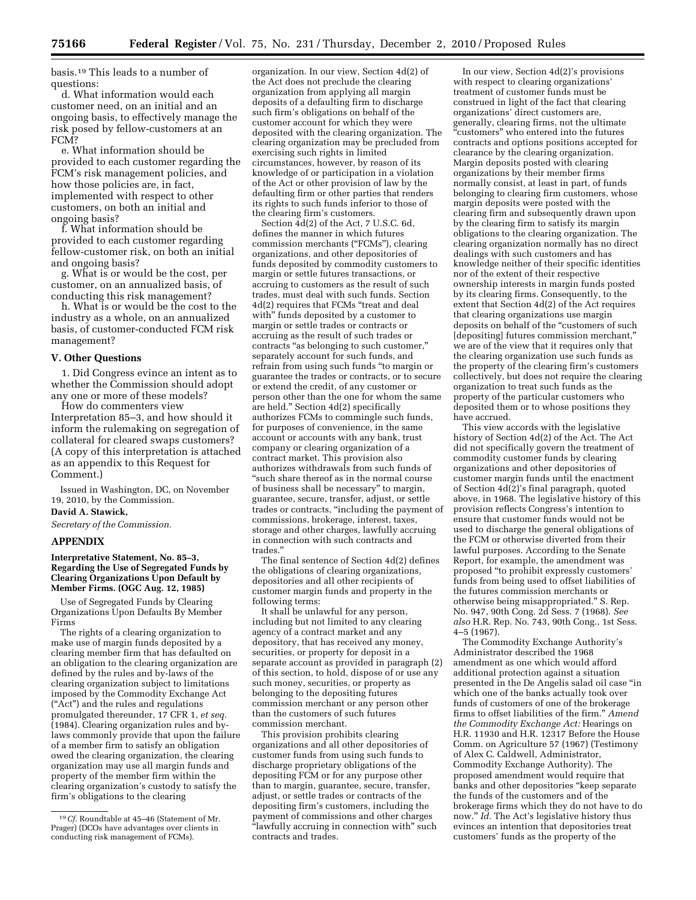basis.19 This leads to a number of questions:

d. What information would each customer need, on an initial and an ongoing basis, to effectively manage the risk posed by fellow-customers at an FCM?

e. What information should be provided to each customer regarding the FCM's risk management policies, and how those policies are, in fact, implemented with respect to other customers, on both an initial and ongoing basis?

f. What information should be provided to each customer regarding fellow-customer risk, on both an initial and ongoing basis?

g. What is or would be the cost, per customer, on an annualized basis, of conducting this risk management?

h. What is or would be the cost to the industry as a whole, on an annualized basis, of customer-conducted FCM risk management?

### **V. Other Questions**

1. Did Congress evince an intent as to whether the Commission should adopt any one or more of these models?

How do commenters view Interpretation 85–3, and how should it inform the rulemaking on segregation of collateral for cleared swaps customers? (A copy of this interpretation is attached as an appendix to this Request for Comment.)

Issued in Washington, DC, on November 19, 2010, by the Commission.

# **David A. Stawick,**

*Secretary of the Commission.* 

#### **APPENDIX**

### **Interpretative Statement, No. 85–3, Regarding the Use of Segregated Funds by Clearing Organizations Upon Default by Member Firms. (OGC Aug. 12, 1985)**

Use of Segregated Funds by Clearing Organizations Upon Defaults By Member Firms

The rights of a clearing organization to make use of margin funds deposited by a clearing member firm that has defaulted on an obligation to the clearing organization are defined by the rules and by-laws of the clearing organization subject to limitations imposed by the Commodity Exchange Act (''Act'') and the rules and regulations promulgated thereunder, 17 CFR 1, *et seq.*  (1984). Clearing organization rules and bylaws commonly provide that upon the failure of a member firm to satisfy an obligation owed the clearing organization, the clearing organization may use all margin funds and property of the member firm within the clearing organization's custody to satisfy the firm's obligations to the clearing

organization. In our view, Section 4d(2) of the Act does not preclude the clearing organization from applying all margin deposits of a defaulting firm to discharge such firm's obligations on behalf of the customer account for which they were deposited with the clearing organization. The clearing organization may be precluded from exercising such rights in limited circumstances, however, by reason of its knowledge of or participation in a violation of the Act or other provision of law by the defaulting firm or other parties that renders its rights to such funds inferior to those of the clearing firm's customers.

Section 4d(2) of the Act, 7 U.S.C. 6d, defines the manner in which futures commission merchants (''FCMs''), clearing organizations, and other depositories of funds deposited by commodity customers to margin or settle futures transactions, or accruing to customers as the result of such trades, must deal with such funds. Section 4d(2) requires that FCMs ''treat and deal with'' funds deposited by a customer to margin or settle trades or contracts or accruing as the result of such trades or contracts "as belonging to such customer," separately account for such funds, and refrain from using such funds ''to margin or guarantee the trades or contracts, or to secure or extend the credit, of any customer or person other than the one for whom the same are held.'' Section 4d(2) specifically authorizes FCMs to commingle such funds, for purposes of convenience, in the same account or accounts with any bank, trust company or clearing organization of a contract market. This provision also authorizes withdrawals from such funds of ''such share thereof as in the normal course of business shall be necessary'' to margin, guarantee, secure, transfer, adjust, or settle trades or contracts, ''including the payment of commissions, brokerage, interest, taxes, storage and other charges, lawfully accruing in connection with such contracts and trades.''

The final sentence of Section 4d(2) defines the obligations of clearing organizations, depositories and all other recipients of customer margin funds and property in the following terms:

It shall be unlawful for any person, including but not limited to any clearing agency of a contract market and any depository, that has received any money, securities, or property for deposit in a separate account as provided in paragraph (2) of this section, to hold, dispose of or use any such money, securities, or property as belonging to the depositing futures commission merchant or any person other than the customers of such futures commission merchant.

This provision prohibits clearing organizations and all other depositories of customer funds from using such funds to discharge proprietary obligations of the depositing FCM or for any purpose other than to margin, guarantee, secure, transfer, adjust, or settle trades or contracts of the depositing firm's customers, including the payment of commissions and other charges ''lawfully accruing in connection with'' such contracts and trades.

In our view, Section 4d(2)'s provisions with respect to clearing organizations' treatment of customer funds must be construed in light of the fact that clearing organizations' direct customers are, generally, clearing firms, not the ultimate ''customers'' who entered into the futures contracts and options positions accepted for clearance by the clearing organization. Margin deposits posted with clearing organizations by their member firms normally consist, at least in part, of funds belonging to clearing firm customers, whose margin deposits were posted with the clearing firm and subsequently drawn upon by the clearing firm to satisfy its margin obligations to the clearing organization. The clearing organization normally has no direct dealings with such customers and has knowledge neither of their specific identities nor of the extent of their respective ownership interests in margin funds posted by its clearing firms. Consequently, to the extent that Section 4d(2) of the Act requires that clearing organizations use margin deposits on behalf of the "customers of such [depositing] futures commission merchant,'' we are of the view that it requires only that the clearing organization use such funds as the property of the clearing firm's customers collectively, but does not require the clearing organization to treat such funds as the property of the particular customers who deposited them or to whose positions they have accrued.

This view accords with the legislative history of Section 4d(2) of the Act. The Act did not specifically govern the treatment of commodity customer funds by clearing organizations and other depositories of customer margin funds until the enactment of Section 4d(2)'s final paragraph, quoted above, in 1968. The legislative history of this provision reflects Congress's intention to ensure that customer funds would not be used to discharge the general obligations of the FCM or otherwise diverted from their lawful purposes. According to the Senate Report, for example, the amendment was proposed ''to prohibit expressly customers' funds from being used to offset liabilities of the futures commission merchants or otherwise being misappropriated.'' S. Rep. No. 947, 90th Cong. 2d Sess. 7 (1968). *See also* H.R. Rep. No. 743, 90th Cong., 1st Sess. 4–5 (1967).

The Commodity Exchange Authority's Administrator described the 1968 amendment as one which would afford additional protection against a situation presented in the De Angelis salad oil case ''in which one of the banks actually took over funds of customers of one of the brokerage firms to offset liabilities of the firm.'' *Amend the Commodity Exchange Act:* Hearings on H.R. 11930 and H.R. 12317 Before the House Comm. on Agriculture 57 (1967) (Testimony of Alex C. Caldwell, Administrator, Commodity Exchange Authority). The proposed amendment would require that banks and other depositories ''keep separate the funds of the customers and of the brokerage firms which they do not have to do now.'' *Id.* The Act's legislative history thus evinces an intention that depositories treat customers' funds as the property of the

<sup>19</sup>*Cf.* Roundtable at 45–46 (Statement of Mr. Prager) (DCOs have advantages over clients in conducting risk management of FCMs).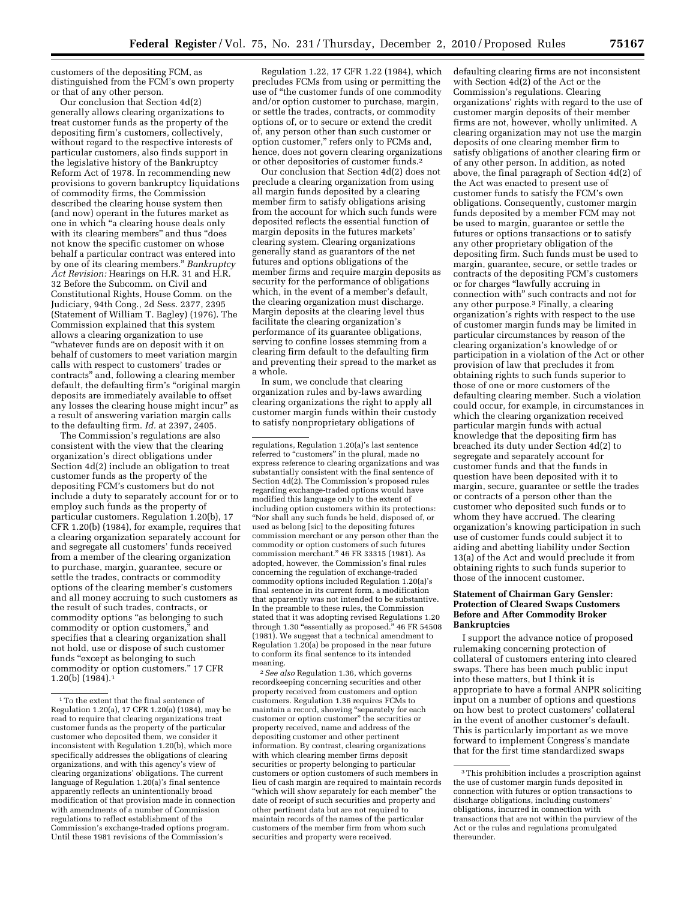customers of the depositing FCM, as distinguished from the FCM's own property or that of any other person.

Our conclusion that Section 4d(2) generally allows clearing organizations to treat customer funds as the property of the depositing firm's customers, collectively, without regard to the respective interests of particular customers, also finds support in the legislative history of the Bankruptcy Reform Act of 1978. In recommending new provisions to govern bankruptcy liquidations of commodity firms, the Commission described the clearing house system then (and now) operant in the futures market as one in which ''a clearing house deals only with its clearing members" and thus "does not know the specific customer on whose behalf a particular contract was entered into by one of its clearing members.'' *Bankruptcy Act Revision:* Hearings on H.R. 31 and H.R. 32 Before the Subcomm. on Civil and Constitutional Rights, House Comm. on the Judiciary, 94th Cong., 2d Sess. 2377, 2395 (Statement of William T. Bagley) (1976). The Commission explained that this system allows a clearing organization to use ''whatever funds are on deposit with it on behalf of customers to meet variation margin calls with respect to customers' trades or contracts'' and, following a clearing member default, the defaulting firm's "original margin deposits are immediately available to offset any losses the clearing house might incur'' as a result of answering variation margin calls to the defaulting firm. *Id.* at 2397, 2405.

The Commission's regulations are also consistent with the view that the clearing organization's direct obligations under Section 4d(2) include an obligation to treat customer funds as the property of the depositing FCM's customers but do not include a duty to separately account for or to employ such funds as the property of particular customers. Regulation 1.20(b), 17 CFR 1.20(b) (1984), for example, requires that a clearing organization separately account for and segregate all customers' funds received from a member of the clearing organization to purchase, margin, guarantee, secure or settle the trades, contracts or commodity options of the clearing member's customers and all money accruing to such customers as the result of such trades, contracts, or commodity options ''as belonging to such commodity or option customers,'' and specifies that a clearing organization shall not hold, use or dispose of such customer funds "except as belonging to such commodity or option customers.'' 17 CFR 1.20(b) (1984).1

Regulation 1.22, 17 CFR 1.22 (1984), which precludes FCMs from using or permitting the use of ''the customer funds of one commodity and/or option customer to purchase, margin, or settle the trades, contracts, or commodity options of, or to secure or extend the credit of, any person other than such customer or option customer,'' refers only to FCMs and, hence, does not govern clearing organizations or other depositories of customer funds.2

Our conclusion that Section 4d(2) does not preclude a clearing organization from using all margin funds deposited by a clearing member firm to satisfy obligations arising from the account for which such funds were deposited reflects the essential function of margin deposits in the futures markets' clearing system. Clearing organizations generally stand as guarantors of the net futures and options obligations of the member firms and require margin deposits as security for the performance of obligations which, in the event of a member's default, the clearing organization must discharge. Margin deposits at the clearing level thus facilitate the clearing organization's performance of its guarantee obligations, serving to confine losses stemming from a clearing firm default to the defaulting firm and preventing their spread to the market as a whole.

In sum, we conclude that clearing organization rules and by-laws awarding clearing organizations the right to apply all customer margin funds within their custody to satisfy nonproprietary obligations of

2*See also* Regulation 1.36, which governs recordkeeping concerning securities and other property received from customers and option customers. Regulation 1.36 requires FCMs to maintain a record, showing ''separately for each customer or option customer'' the securities or property received, name and address of the depositing customer and other pertinent information. By contrast, clearing organizations with which clearing member firms deposit securities or property belonging to particular customers or option customers of such members in lieu of cash margin are required to maintain records "which will show separately for each member" the date of receipt of such securities and property and other pertinent data but are not required to maintain records of the names of the particular customers of the member firm from whom such securities and property were received.

defaulting clearing firms are not inconsistent with Section 4d(2) of the Act or the Commission's regulations. Clearing organizations' rights with regard to the use of customer margin deposits of their member firms are not, however, wholly unlimited. A clearing organization may not use the margin deposits of one clearing member firm to satisfy obligations of another clearing firm or of any other person. In addition, as noted above, the final paragraph of Section 4d(2) of the Act was enacted to present use of customer funds to satisfy the FCM's own obligations. Consequently, customer margin funds deposited by a member FCM may not be used to margin, guarantee or settle the futures or options transactions or to satisfy any other proprietary obligation of the depositing firm. Such funds must be used to margin, guarantee, secure, or settle trades or contracts of the depositing FCM's customers or for charges ''lawfully accruing in connection with'' such contracts and not for any other purpose.3 Finally, a clearing organization's rights with respect to the use of customer margin funds may be limited in particular circumstances by reason of the clearing organization's knowledge of or participation in a violation of the Act or other provision of law that precludes it from obtaining rights to such funds superior to those of one or more customers of the defaulting clearing member. Such a violation could occur, for example, in circumstances in which the clearing organization received particular margin funds with actual knowledge that the depositing firm has breached its duty under Section 4d(2) to segregate and separately account for customer funds and that the funds in question have been deposited with it to margin, secure, guarantee or settle the trades or contracts of a person other than the customer who deposited such funds or to whom they have accrued. The clearing organization's knowing participation in such use of customer funds could subject it to aiding and abetting liability under Section 13(a) of the Act and would preclude it from obtaining rights to such funds superior to those of the innocent customer.

#### **Statement of Chairman Gary Gensler: Protection of Cleared Swaps Customers Before and After Commodity Broker Bankruptcies**

I support the advance notice of proposed rulemaking concerning protection of collateral of customers entering into cleared swaps. There has been much public input into these matters, but I think it is appropriate to have a formal ANPR soliciting input on a number of options and questions on how best to protect customers' collateral in the event of another customer's default. This is particularly important as we move forward to implement Congress's mandate that for the first time standardized swaps

<sup>1</sup>To the extent that the final sentence of Regulation 1.20(a), 17 CFR 1.20(a) (1984), may be read to require that clearing organizations treat customer funds as the property of the particular customer who deposited them, we consider it inconsistent with Regulation 1.20(b), which more specifically addresses the obligations of clearing organizations, and with this agency's view of clearing organizations' obligations. The current language of Regulation 1.20(a)'s final sentence apparently reflects an unintentionally broad modification of that provision made in connection with amendments of a number of Commission regulations to reflect establishment of the Commission's exchange-traded options program. Until these 1981 revisions of the Commission's

regulations, Regulation 1.20(a)'s last sentence referred to ''customers'' in the plural, made no express reference to clearing organizations and was substantially consistent with the final sentence of Section 4d(2). The Commission's proposed rules regarding exchange-traded options would have modified this language only to the extent of including option customers within its protections: ''Nor shall any such funds be held, disposed of, or used as belong [sic] to the depositing futures commission merchant or any person other than the commodity or option customers of such futures commission merchant.'' 46 FR 33315 (1981). As adopted, however, the Commission's final rules concerning the regulation of exchange-traded commodity options included Regulation 1.20(a)'s final sentence in its current form, a modification that apparently was not intended to be substantive. In the preamble to these rules, the Commission stated that it was adopting revised Regulations 1.20 through 1.30 "essentially as proposed." 46 FR 54508 (1981). We suggest that a technical amendment to Regulation 1.20(a) be proposed in the near future to conform its final sentence to its intended meaning.

<sup>&</sup>lt;sup>3</sup>This prohibition includes a proscription against the use of customer margin funds deposited in connection with futures or option transactions to discharge obligations, including customers' obligations, incurred in connection with transactions that are not within the purview of the Act or the rules and regulations promulgated thereunder.